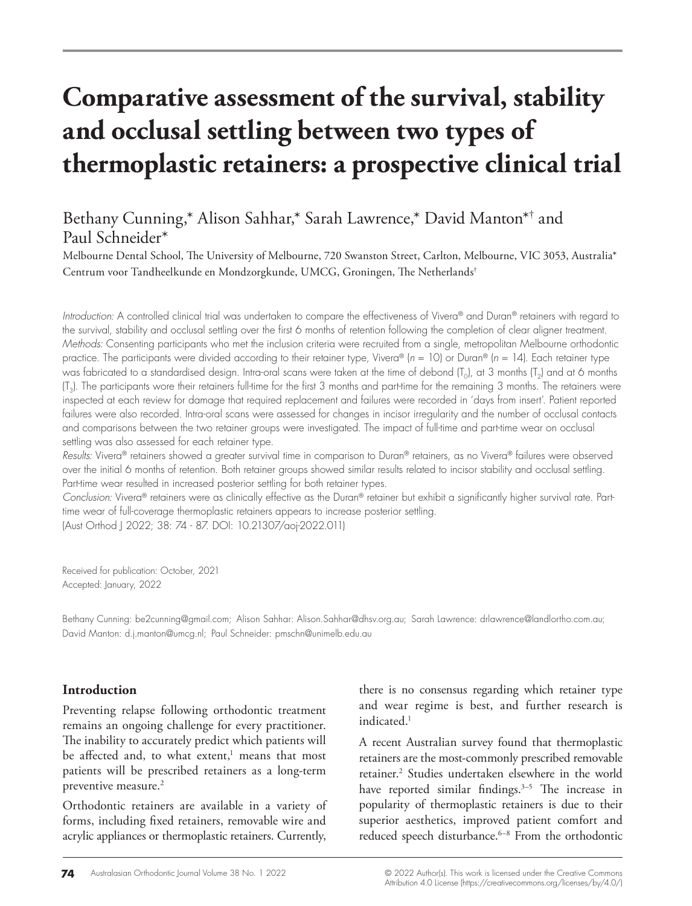# **Comparative assessment of the survival, stability and occlusal settling between two types of thermoplastic retainers: a prospective clinical trial**

# Bethany Cunning,\* Alison Sahhar,\* Sarah Lawrence,\* David Manton\*† and Paul Schneider\*

Melbourne Dental School, The University of Melbourne, 720 Swanston Street, Carlton, Melbourne, VIC 3053, Australia\* Centrum voor Tandheelkunde en Mondzorgkunde, UMCG, Groningen, The Netherlands†

*Introduction:* A controlled clinical trial was undertaken to compare the effectiveness of Vivera® and Duran® retainers with regard to the survival, stability and occlusal settling over the first 6 months of retention following the completion of clear aligner treatment. *Methods:* Consenting participants who met the inclusion criteria were recruited from a single, metropolitan Melbourne orthodontic practice. The participants were divided according to their retainer type, Vivera® (*n* = 10) or Duran® (*n* = 14). Each retainer type was fabricated to a standardised design. Intra-oral scans were taken at the time of debond  $[T_0]$ , at 3 months  $[T_2]$  and at 6 months (T3). The participants wore their retainers full-time for the first 3 months and part-time for the remaining 3 months. The retainers were inspected at each review for damage that required replacement and failures were recorded in 'days from insert'. Patient reported failures were also recorded. Intra-oral scans were assessed for changes in incisor irregularity and the number of occlusal contacts and comparisons between the two retainer groups were investigated. The impact of full-time and part-time wear on occlusal settling was also assessed for each retainer type.

*Results:* Vivera® retainers showed a greater survival time in comparison to Duran® retainers, as no Vivera® failures were observed over the initial 6 months of retention. Both retainer groups showed similar results related to incisor stability and occlusal settling. Part-time wear resulted in increased posterior settling for both retainer types.

*Conclusion:* Vivera® retainers were as clinically effective as the Duran® retainer but exhibit a significantly higher survival rate. Parttime wear of full-coverage thermoplastic retainers appears to increase posterior settling. (Aust Orthod J 2022; 38: 74 - 87. DOI: 10.21307/aoj-2022.011)

Received for publication: October, 2021 Accepted: January, 2022

Bethany Cunning: be2cunning@gmail.com; Alison Sahhar: Alison.Sahhar@dhsv.org.au; Sarah Lawrence: drlawrence@landlortho.com.au; David Manton: d.j.manton@umcg.nl; Paul Schneider: pmschn@unimelb.edu.au

### **Introduction**

Preventing relapse following orthodontic treatment remains an ongoing challenge for every practitioner. The inability to accurately predict which patients will be affected and, to what extent,<sup>1</sup> means that most patients will be prescribed retainers as a long-term preventive measure.<sup>2</sup>

Orthodontic retainers are available in a variety of forms, including fixed retainers, removable wire and acrylic appliances or thermoplastic retainers. Currently,

there is no consensus regarding which retainer type and wear regime is best, and further research is indicated.<sup>1</sup>

A recent Australian survey found that thermoplastic retainers are the most-commonly prescribed removable retainer.<sup>2</sup> Studies undertaken elsewhere in the world have reported similar findings.<sup>3-5</sup> The increase in popularity of thermoplastic retainers is due to their superior aesthetics, improved patient comfort and reduced speech disturbance.<sup>6-8</sup> From the orthodontic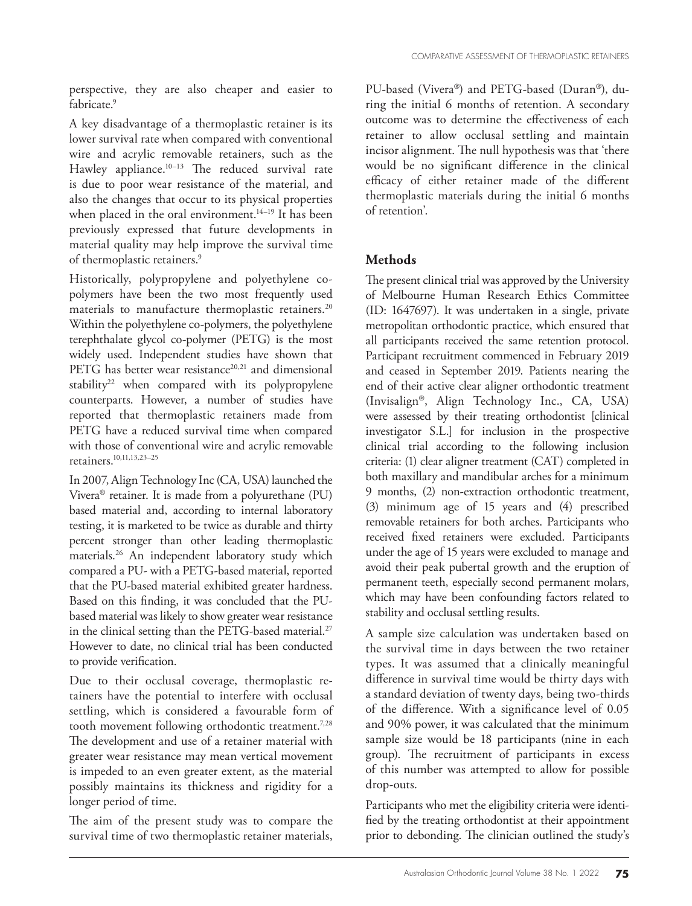perspective, they are also cheaper and easier to fabricate.<sup>9</sup>

A key disadvantage of a thermoplastic retainer is its lower survival rate when compared with conventional wire and acrylic removable retainers, such as the Hawley appliance.<sup>10-13</sup> The reduced survival rate is due to poor wear resistance of the material, and also the changes that occur to its physical properties when placed in the oral environment.<sup>14-19</sup> It has been previously expressed that future developments in material quality may help improve the survival time of thermoplastic retainers.<sup>9</sup>

Historically, polypropylene and polyethylene copolymers have been the two most frequently used materials to manufacture thermoplastic retainers.<sup>20</sup> Within the polyethylene co-polymers, the polyethylene terephthalate glycol co-polymer (PETG) is the most widely used. Independent studies have shown that PETG has better wear resistance<sup>20,21</sup> and dimensional stability<sup>22</sup> when compared with its polypropylene counterparts. However, a number of studies have reported that thermoplastic retainers made from PETG have a reduced survival time when compared with those of conventional wire and acrylic removable retainers.10,11,13,23–25

In 2007, Align Technology Inc (CA, USA) launched the Vivera® retainer. It is made from a polyurethane (PU) based material and, according to internal laboratory testing, it is marketed to be twice as durable and thirty percent stronger than other leading thermoplastic materials.26 An independent laboratory study which compared a PU- with a PETG-based material, reported that the PU-based material exhibited greater hardness. Based on this finding, it was concluded that the PUbased material was likely to show greater wear resistance in the clinical setting than the PETG-based material.<sup>27</sup> However to date, no clinical trial has been conducted to provide verification.

Due to their occlusal coverage, thermoplastic retainers have the potential to interfere with occlusal settling, which is considered a favourable form of tooth movement following orthodontic treatment.<sup>7,28</sup> The development and use of a retainer material with greater wear resistance may mean vertical movement is impeded to an even greater extent, as the material possibly maintains its thickness and rigidity for a longer period of time.

The aim of the present study was to compare the survival time of two thermoplastic retainer materials,

PU-based (Vivera®) and PETG-based (Duran®), during the initial 6 months of retention. A secondary outcome was to determine the effectiveness of each retainer to allow occlusal settling and maintain incisor alignment. The null hypothesis was that 'there would be no significant difference in the clinical efficacy of either retainer made of the different thermoplastic materials during the initial 6 months of retention'.

# **Methods**

The present clinical trial was approved by the University of Melbourne Human Research Ethics Committee (ID: 1647697). It was undertaken in a single, private metropolitan orthodontic practice, which ensured that all participants received the same retention protocol. Participant recruitment commenced in February 2019 and ceased in September 2019. Patients nearing the end of their active clear aligner orthodontic treatment (Invisalign®, Align Technology Inc., CA, USA) were assessed by their treating orthodontist [clinical investigator S.L.] for inclusion in the prospective clinical trial according to the following inclusion criteria: (1) clear aligner treatment (CAT) completed in both maxillary and mandibular arches for a minimum 9 months, (2) non-extraction orthodontic treatment, (3) minimum age of 15 years and (4) prescribed removable retainers for both arches. Participants who received fixed retainers were excluded. Participants under the age of 15 years were excluded to manage and avoid their peak pubertal growth and the eruption of permanent teeth, especially second permanent molars, which may have been confounding factors related to stability and occlusal settling results.

A sample size calculation was undertaken based on the survival time in days between the two retainer types. It was assumed that a clinically meaningful difference in survival time would be thirty days with a standard deviation of twenty days, being two-thirds of the difference. With a significance level of 0.05 and 90% power, it was calculated that the minimum sample size would be 18 participants (nine in each group). The recruitment of participants in excess of this number was attempted to allow for possible drop-outs.

Participants who met the eligibility criteria were identified by the treating orthodontist at their appointment prior to debonding. The clinician outlined the study's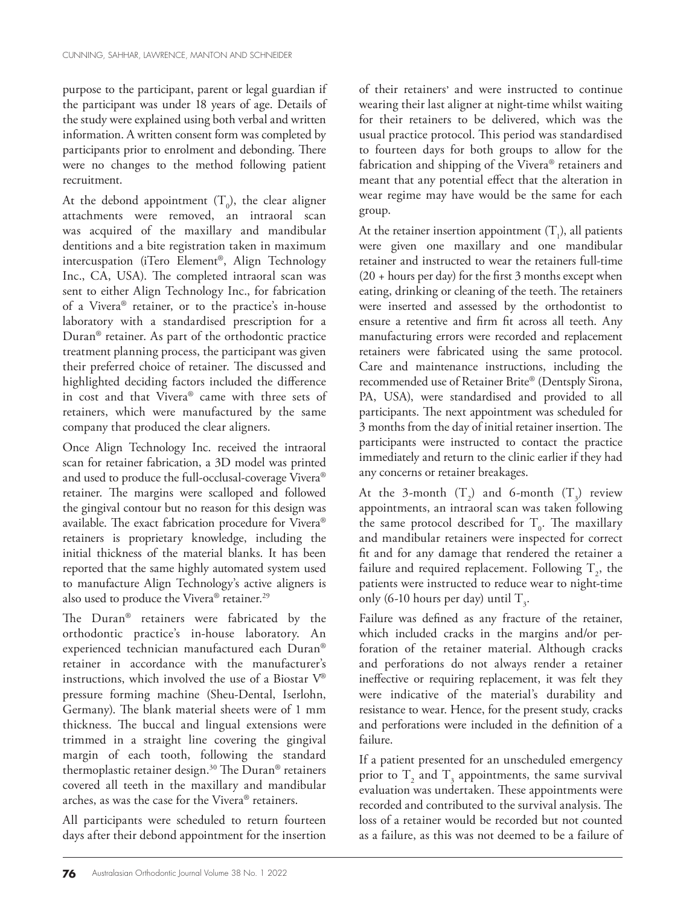purpose to the participant, parent or legal guardian if the participant was under 18 years of age. Details of the study were explained using both verbal and written information. A written consent form was completed by participants prior to enrolment and debonding. There were no changes to the method following patient recruitment.

At the debond appointment  $(T_0)$ , the clear aligner attachments were removed, an intraoral scan was acquired of the maxillary and mandibular dentitions and a bite registration taken in maximum intercuspation (iTero Element®, Align Technology Inc., CA, USA). The completed intraoral scan was sent to either Align Technology Inc., for fabrication of a Vivera® retainer, or to the practice's in-house laboratory with a standardised prescription for a Duran® retainer. As part of the orthodontic practice treatment planning process, the participant was given their preferred choice of retainer. The discussed and highlighted deciding factors included the difference in cost and that Vivera® came with three sets of retainers, which were manufactured by the same company that produced the clear aligners.

Once Align Technology Inc. received the intraoral scan for retainer fabrication, a 3D model was printed and used to produce the full-occlusal-coverage Vivera® retainer. The margins were scalloped and followed the gingival contour but no reason for this design was available. The exact fabrication procedure for Vivera® retainers is proprietary knowledge, including the initial thickness of the material blanks. It has been reported that the same highly automated system used to manufacture Align Technology's active aligners is also used to produce the Vivera® retainer.<sup>29</sup>

The Duran® retainers were fabricated by the orthodontic practice's in-house laboratory. An experienced technician manufactured each Duran® retainer in accordance with the manufacturer's instructions, which involved the use of a Biostar V® pressure forming machine (Sheu-Dental, Iserlohn, Germany). The blank material sheets were of 1 mm thickness. The buccal and lingual extensions were trimmed in a straight line covering the gingival margin of each tooth, following the standard thermoplastic retainer design.30 The Duran® retainers covered all teeth in the maxillary and mandibular arches, as was the case for the Vivera® retainers.

All participants were scheduled to return fourteen days after their debond appointment for the insertion of their retainers' and were instructed to continue wearing their last aligner at night-time whilst waiting for their retainers to be delivered, which was the usual practice protocol. This period was standardised to fourteen days for both groups to allow for the fabrication and shipping of the Vivera® retainers and meant that any potential effect that the alteration in wear regime may have would be the same for each group.

At the retainer insertion appointment  $(T_1)$ , all patients were given one maxillary and one mandibular retainer and instructed to wear the retainers full-time  $(20 + hours per day)$  for the first 3 months except when eating, drinking or cleaning of the teeth. The retainers were inserted and assessed by the orthodontist to ensure a retentive and firm fit across all teeth. Any manufacturing errors were recorded and replacement retainers were fabricated using the same protocol. Care and maintenance instructions, including the recommended use of Retainer Brite® (Dentsply Sirona, PA, USA), were standardised and provided to all participants. The next appointment was scheduled for 3 months from the day of initial retainer insertion. The participants were instructed to contact the practice immediately and return to the clinic earlier if they had any concerns or retainer breakages.

At the 3-month  $(T_2)$  and 6-month  $(T_3)$  review appointments, an intraoral scan was taken following the same protocol described for  $T<sub>o</sub>$ . The maxillary and mandibular retainers were inspected for correct fit and for any damage that rendered the retainer a failure and required replacement. Following  $\mathrm{T}_2^{\vphantom{T}}$ , the patients were instructed to reduce wear to night-time only (6-10 hours per day) until  $T_{3}$ .

Failure was defined as any fracture of the retainer, which included cracks in the margins and/or perforation of the retainer material. Although cracks and perforations do not always render a retainer ineffective or requiring replacement, it was felt they were indicative of the material's durability and resistance to wear. Hence, for the present study, cracks and perforations were included in the definition of a failure.

If a patient presented for an unscheduled emergency prior to  $T_2$  and  $T_3$  appointments, the same survival evaluation was undertaken. These appointments were recorded and contributed to the survival analysis. The loss of a retainer would be recorded but not counted as a failure, as this was not deemed to be a failure of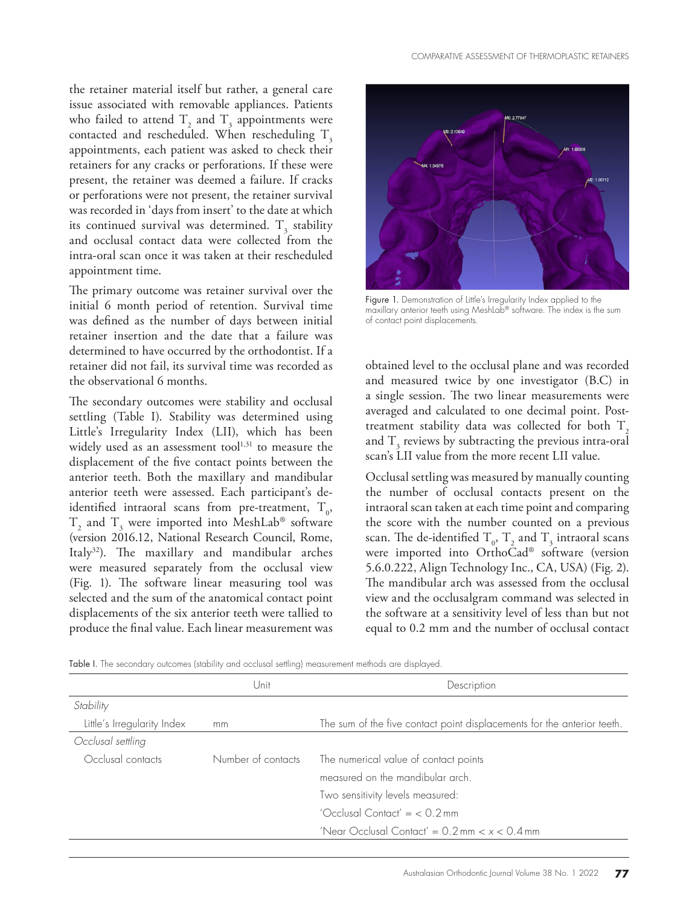the retainer material itself but rather, a general care issue associated with removable appliances. Patients who failed to attend  $T_2$  and  $T_3$  appointments were contacted and rescheduled. When rescheduling  $T<sub>3</sub>$ appointments, each patient was asked to check their retainers for any cracks or perforations. If these were present, the retainer was deemed a failure. If cracks or perforations were not present, the retainer survival was recorded in 'days from insert' to the date at which its continued survival was determined.  $T_3$  stability and occlusal contact data were collected from the intra-oral scan once it was taken at their rescheduled appointment time.

The primary outcome was retainer survival over the initial 6 month period of retention. Survival time was defined as the number of days between initial retainer insertion and the date that a failure was determined to have occurred by the orthodontist. If a retainer did not fail, its survival time was recorded as the observational 6 months.

The secondary outcomes were stability and occlusal settling (Table I). Stability was determined using Little's Irregularity Index (LII), which has been widely used as an assessment tool $1,31$  to measure the displacement of the five contact points between the anterior teeth. Both the maxillary and mandibular anterior teeth were assessed. Each participant's deidentified intraoral scans from pre-treatment,  $T_{0}$ ,  $T_2$  and  $T_3$  were imported into MeshLab® software (version 2016.12, National Research Council, Rome, Italy32). The maxillary and mandibular arches were measured separately from the occlusal view (Fig. 1). The software linear measuring tool was selected and the sum of the anatomical contact point displacements of the six anterior teeth were tallied to produce the final value. Each linear measurement was



Figure 1. Demonstration of Little's Irregularity Index applied to the maxillary anterior teeth using MeshLab® software. The index is the sum of contact point displacements.

obtained level to the occlusal plane and was recorded and measured twice by one investigator (B.C) in a single session. The two linear measurements were averaged and calculated to one decimal point. Posttreatment stability data was collected for both  $T<sub>2</sub>$ and  $T<sub>3</sub>$  reviews by subtracting the previous intra-oral scan's LII value from the more recent LII value.

Occlusal settling was measured by manually counting the number of occlusal contacts present on the intraoral scan taken at each time point and comparing the score with the number counted on a previous scan. The de-identified  $T_0$ ,  $T_2$  and  $T_3$  intraoral scans were imported into OrthoCad® software (version 5.6.0.222, Align Technology Inc., CA, USA) (Fig. 2). The mandibular arch was assessed from the occlusal view and the occlusalgram command was selected in the software at a sensitivity level of less than but not equal to 0.2 mm and the number of occlusal contact

|  |  |  |  |  |  |  | Table I. The secondary outcomes (stability and occlusal settlina) measurement methods are displayed. |  |  |  |  |
|--|--|--|--|--|--|--|------------------------------------------------------------------------------------------------------|--|--|--|--|
|--|--|--|--|--|--|--|------------------------------------------------------------------------------------------------------|--|--|--|--|

|                                         | Unit | Description                                                             |
|-----------------------------------------|------|-------------------------------------------------------------------------|
| Stability                               |      |                                                                         |
| Little's Irregularity Index             | mm   | The sum of the five contact point displacements for the anterior teeth. |
| Occlusal settling                       |      |                                                                         |
| Number of contacts<br>Occlusal contacts |      | The numerical value of contact points                                   |
|                                         |      | measured on the mandibular arch.                                        |
|                                         |      | Two sensitivity levels measured:                                        |
|                                         |      | 'Occlusal Contact' = $< 0.2$ mm                                         |
|                                         |      | 'Near Occlusal Contact' = $0.2$ mm < $x$ < $0.4$ mm                     |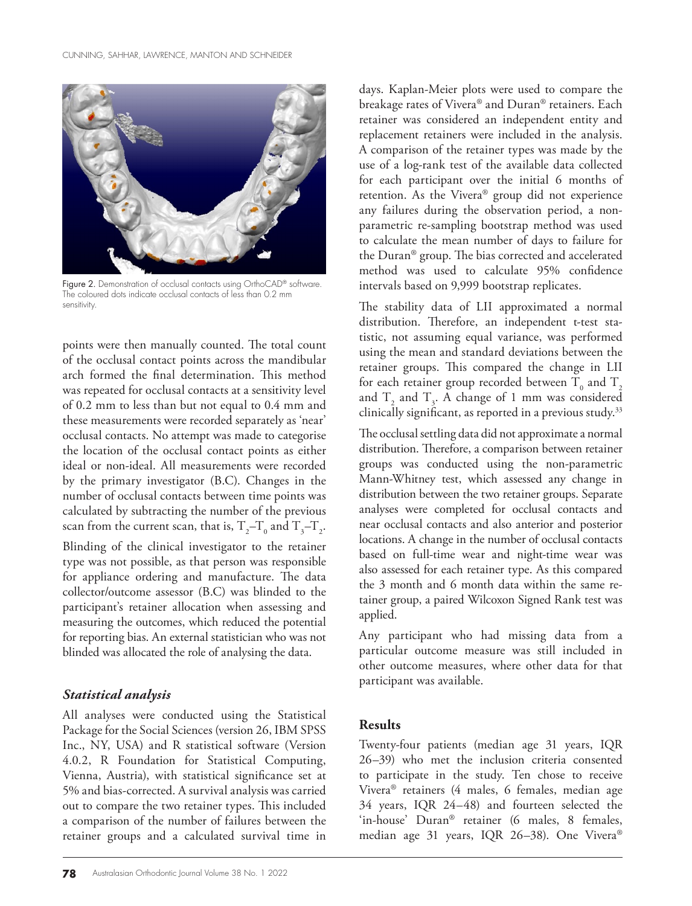

Figure 2. Demonstration of occlusal contacts using OrthoCAD® software. The coloured dots indicate occlusal contacts of less than 0.2 mm sensitivity.

points were then manually counted. The total count of the occlusal contact points across the mandibular arch formed the final determination. This method was repeated for occlusal contacts at a sensitivity level of 0.2 mm to less than but not equal to 0.4 mm and these measurements were recorded separately as 'near' occlusal contacts. No attempt was made to categorise the location of the occlusal contact points as either ideal or non-ideal. All measurements were recorded by the primary investigator (B.C). Changes in the number of occlusal contacts between time points was calculated by subtracting the number of the previous scan from the current scan, that is,  $T_{2}$ – $T_{0}$  and  $T_{3}$ – $T_{2}$ . Blinding of the clinical investigator to the retainer type was not possible, as that person was responsible for appliance ordering and manufacture. The data collector/outcome assessor (B.C) was blinded to the participant's retainer allocation when assessing and measuring the outcomes, which reduced the potential for reporting bias. An external statistician who was not blinded was allocated the role of analysing the data.

#### *Statistical analysis*

All analyses were conducted using the Statistical Package for the Social Sciences (version 26, IBM SPSS Inc., NY, USA) and R statistical software (Version 4.0.2, R Foundation for Statistical Computing, Vienna, Austria), with statistical significance set at 5% and bias-corrected. A survival analysis was carried out to compare the two retainer types. This included a comparison of the number of failures between the retainer groups and a calculated survival time in

days. Kaplan-Meier plots were used to compare the breakage rates of Vivera® and Duran® retainers. Each retainer was considered an independent entity and replacement retainers were included in the analysis. A comparison of the retainer types was made by the use of a log-rank test of the available data collected for each participant over the initial 6 months of retention. As the Vivera® group did not experience any failures during the observation period, a nonparametric re-sampling bootstrap method was used to calculate the mean number of days to failure for the Duran® group. The bias corrected and accelerated method was used to calculate 95% confidence intervals based on 9,999 bootstrap replicates.

The stability data of LII approximated a normal distribution. Therefore, an independent t-test statistic, not assuming equal variance, was performed using the mean and standard deviations between the retainer groups. This compared the change in LII for each retainer group recorded between  $\mathrm{T}_{{}_{0}}$  and  $\mathrm{T}_{{}_{2}}$ and  $T_2$  and  $T_3$ . A change of 1 mm was considered clinically significant, as reported in a previous study.33

The occlusal settling data did not approximate a normal distribution. Therefore, a comparison between retainer groups was conducted using the non-parametric Mann-Whitney test, which assessed any change in distribution between the two retainer groups. Separate analyses were completed for occlusal contacts and near occlusal contacts and also anterior and posterior locations. A change in the number of occlusal contacts based on full-time wear and night-time wear was also assessed for each retainer type. As this compared the 3 month and 6 month data within the same retainer group, a paired Wilcoxon Signed Rank test was applied.

Any participant who had missing data from a particular outcome measure was still included in other outcome measures, where other data for that participant was available.

#### **Results**

Twenty-four patients (median age 31 years, IQR 26–39) who met the inclusion criteria consented to participate in the study. Ten chose to receive Vivera® retainers (4 males, 6 females, median age 34 years, IQR 24–48) and fourteen selected the 'in-house' Duran® retainer (6 males, 8 females, median age 31 years, IQR 26–38). One Vivera®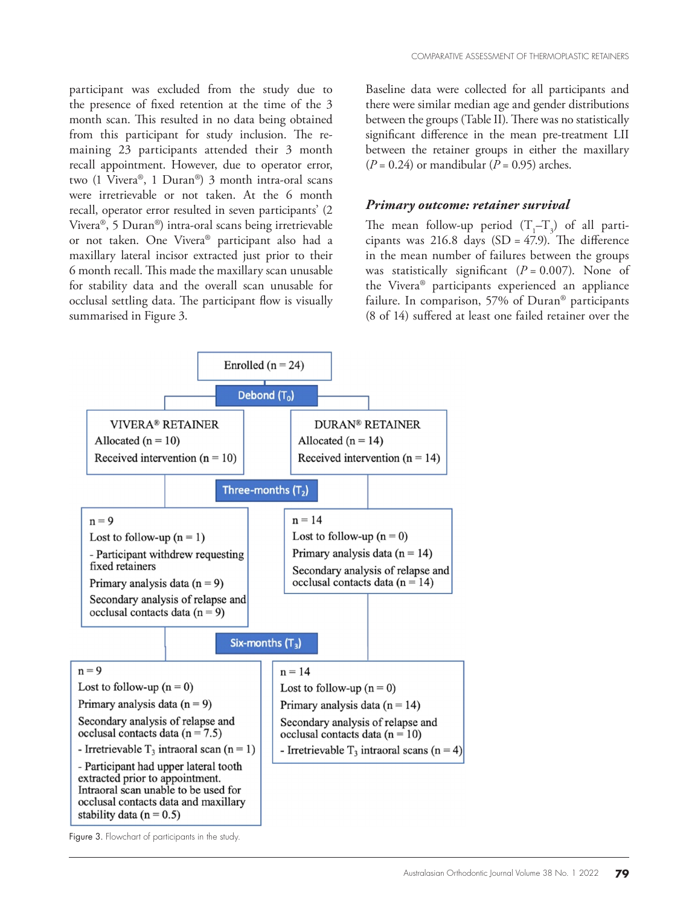participant was excluded from the study due to the presence of fixed retention at the time of the 3 month scan. This resulted in no data being obtained from this participant for study inclusion. The remaining 23 participants attended their 3 month recall appointment. However, due to operator error, two (1 Vivera®, 1 Duran®) 3 month intra-oral scans were irretrievable or not taken. At the 6 month recall, operator error resulted in seven participants' (2 Vivera®, 5 Duran®) intra-oral scans being irretrievable or not taken. One Vivera® participant also had a maxillary lateral incisor extracted just prior to their 6 month recall. This made the maxillary scan unusable for stability data and the overall scan unusable for occlusal settling data. The participant flow is visually summarised in Figure 3.

Baseline data were collected for all participants and there were similar median age and gender distributions between the groups (Table II). There was no statistically significant difference in the mean pre-treatment LII between the retainer groups in either the maxillary  $(P = 0.24)$  or mandibular  $(P = 0.95)$  arches.

#### *Primary outcome: retainer survival*

The mean follow-up period  $(T_1 - T_3)$  of all participants was  $216.8$  days  $(SD = 47.9)$ . The difference in the mean number of failures between the groups was statistically significant  $(P = 0.007)$ . None of the Vivera® participants experienced an appliance failure. In comparison, 57% of Duran® participants (8 of 14) suffered at least one failed retainer over the



Figure 3. Flowchart of participants in the study.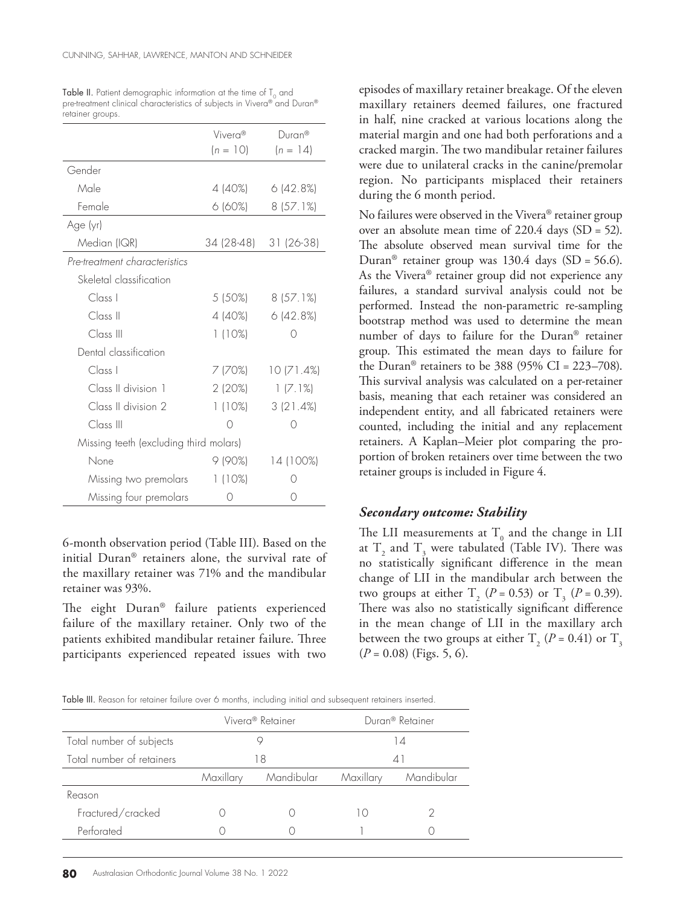| Table II. Patient demographic information at the time of $T_0$ and       |
|--------------------------------------------------------------------------|
| pre-treatment clinical characteristics of subjects in Vivera® and Duran® |
| retainer groups.                                                         |

|                                        | Vivera <sup>®</sup><br>$(n = 10)$ | Duran®<br>$(n = 14)$ |
|----------------------------------------|-----------------------------------|----------------------|
| Gender                                 |                                   |                      |
| Male                                   | 4 (40%)                           | 6(42.8%)             |
| Female                                 | 6 (60%)                           | 8(57.1%)             |
| Age (yr)                               |                                   |                      |
| Median (IQR)                           | 34 (28-48)                        | 31 (26-38)           |
| Pre-treatment characteristics          |                                   |                      |
| Skeletal classification                |                                   |                      |
| Class <sub>1</sub>                     | 5 (50%)                           | 8(57.1%)             |
| Class II                               | 4 (40%)                           | 6(42.8%)             |
| Class III                              | 1(10%)                            | $^{\circ}$           |
| Dental classification                  |                                   |                      |
| Class I                                | 7 (70%)                           | 10(71.4%)            |
| Class II division 1                    | 2(20%)                            | 1(7.1%)              |
| Class II division 2                    | 1(10%)                            | 3(21.4%)             |
| Class III                              | Ω                                 |                      |
| Missing teeth (excluding third molars) |                                   |                      |
| None                                   | 9 (90%)                           | 14 (100%)            |
| Missing two premolars                  | 1(10%)                            |                      |
| Missing four premolars                 | ( )                               |                      |

6-month observation period (Table III). Based on the initial Duran® retainers alone, the survival rate of the maxillary retainer was 71% and the mandibular retainer was 93%.

The eight Duran® failure patients experienced failure of the maxillary retainer. Only two of the patients exhibited mandibular retainer failure. Three participants experienced repeated issues with two

episodes of maxillary retainer breakage. Of the eleven maxillary retainers deemed failures, one fractured in half, nine cracked at various locations along the material margin and one had both perforations and a cracked margin. The two mandibular retainer failures were due to unilateral cracks in the canine/premolar region. No participants misplaced their retainers during the 6 month period.

No failures were observed in the Vivera® retainer group over an absolute mean time of 220.4 days (SD = 52). The absolute observed mean survival time for the Duran<sup>®</sup> retainer group was 130.4 days (SD = 56.6). As the Vivera® retainer group did not experience any failures, a standard survival analysis could not be performed. Instead the non-parametric re-sampling bootstrap method was used to determine the mean number of days to failure for the Duran® retainer group. This estimated the mean days to failure for the Duran<sup>®</sup> retainers to be 388 (95% CI = 223–708). This survival analysis was calculated on a per-retainer basis, meaning that each retainer was considered an independent entity, and all fabricated retainers were counted, including the initial and any replacement retainers. A Kaplan–Meier plot comparing the proportion of broken retainers over time between the two retainer groups is included in Figure 4.

#### *Secondary outcome: Stability*

The LII measurements at  $T_0$  and the change in LII at  $T_2$  and  $T_3$  were tabulated (Table IV). There was no statistically significant difference in the mean change of LII in the mandibular arch between the two groups at either  $T_2$  (*P* = 0.53) or  $T_3$  (*P* = 0.39). There was also no statistically significant difference in the mean change of LII in the maxillary arch between the two groups at either  $T_2$  (*P* = 0.41) or  $T_3$  $(P = 0.08)$  (Figs. 5, 6).

Table III. Reason for retainer failure over 6 months, including initial and subsequent retainers inserted.

|                           |           | Vivera <sup>®</sup> Retainer | Duran <sup>®</sup> Retainer |            |  |
|---------------------------|-----------|------------------------------|-----------------------------|------------|--|
| Total number of subjects  |           |                              | 14                          |            |  |
| Total number of retainers |           | 18                           | 41                          |            |  |
|                           | Maxillary | Mandibular                   | Maxillary                   | Mandibular |  |
| Reason                    |           |                              |                             |            |  |
| Fractured/cracked         |           |                              |                             |            |  |
| Perforated                |           |                              |                             |            |  |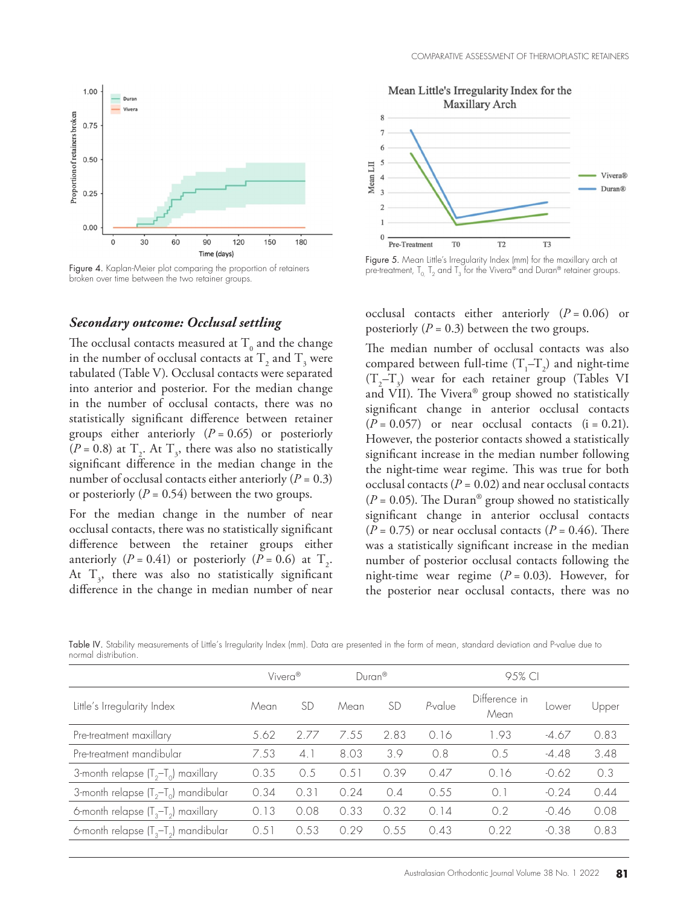

Figure 4. Kaplan-Meier plot comparing the proportion of retainers broken over time between the two retainer groups.

#### *Secondary outcome: Occlusal settling*

The occlusal contacts measured at  $T_0$  and the change in the number of occlusal contacts at  $T_2$  and  $T_3$  were tabulated (Table V). Occlusal contacts were separated into anterior and posterior. For the median change in the number of occlusal contacts, there was no statistically significant difference between retainer groups either anteriorly  $(P = 0.65)$  or posteriorly  $(P = 0.8)$  at  $T_2$ . At  $T_3$ , there was also no statistically significant difference in the median change in the number of occlusal contacts either anteriorly  $(P = 0.3)$ or posteriorly  $(P = 0.54)$  between the two groups.

For the median change in the number of near occlusal contacts, there was no statistically significant difference between the retainer groups either anteriorly  $(P = 0.41)$  or posteriorly  $(P = 0.6)$  at  $T_2$ . At  $T_3$ , there was also no statistically significant difference in the change in median number of near



Figure 5. Mean Little's Irregularity Index (mm) for the maxillary arch at pre-treatment,  $T_0$ ,  $T_2$  and  $T_3$  for the Vivera® and Duran® retainer groups.

occlusal contacts either anteriorly (*P* = 0.06) or posteriorly  $(P = 0.3)$  between the two groups.

The median number of occlusal contacts was also compared between full-time  $(T_1 - T_2)$  and night-time  $(T_2 - T_3)$  wear for each retainer group (Tables VI and VII). The Vivera® group showed no statistically significant change in anterior occlusal contacts  $(P = 0.057)$  or near occlusal contacts  $(i = 0.21)$ . However, the posterior contacts showed a statistically significant increase in the median number following the night-time wear regime. This was true for both occlusal contacts ( $P = 0.02$ ) and near occlusal contacts ( $P = 0.05$ ). The Duran<sup>®</sup> group showed no statistically significant change in anterior occlusal contacts  $(P = 0.75)$  or near occlusal contacts  $(P = 0.46)$ . There was a statistically significant increase in the median number of posterior occlusal contacts following the night-time wear regime  $(P = 0.03)$ . However, for the posterior near occlusal contacts, there was no

Table IV. Stability measurements of Little's Irregularity Index (mm). Data are presented in the form of mean, standard deviation and P-value due to normal distribution.

|                                            |      | $Duran^@$<br>Vivera <sup>®</sup> |                         | 9.5% CI   |           |                       |         |       |
|--------------------------------------------|------|----------------------------------|-------------------------|-----------|-----------|-----------------------|---------|-------|
| Little's Irregularity Index                | Mean | <b>SD</b>                        | Mean                    | <b>SD</b> | P-value   | Difference in<br>Mean | Lower   | Upper |
| Pre-treatment maxillary                    | 5.62 | 2.77                             | 7.55                    | 2.83      | 0.16      | 1.93                  | -4.67   | 0.83  |
| Pre-treatment mandibular                   | 7.53 | 4.1                              | 8.03                    | 3.9       | 0.8       | 0.5                   | $-4.48$ | 3.48  |
| 3-month relapse $(T_2-T_0)$ maxillary      | 0.35 | 0.5                              | .51<br>$\left( \right)$ | 0.39      | 0.47      | 0.16                  | $-0.62$ | 0.3   |
| 3-month relapse $(T_2-T_0)$ mandibular     | 0.34 | 0.31                             | 0.24                    | 0.4       | 0.55      | 0.1                   | $-0.24$ | 0.44  |
| 6-month relapse $(T3-T2)$ maxillary        | 0.13 | 0.08                             | 0.33                    | 0.32      | . 14<br>0 | 0.2                   | $-0.46$ | 0.08  |
| 6-month relapse $(T_{3}-T_{2})$ mandibular | 0.51 | 0.53                             | 0.29                    | 0.55      | 0.43      | 0.22                  | $-0.38$ | 0.83  |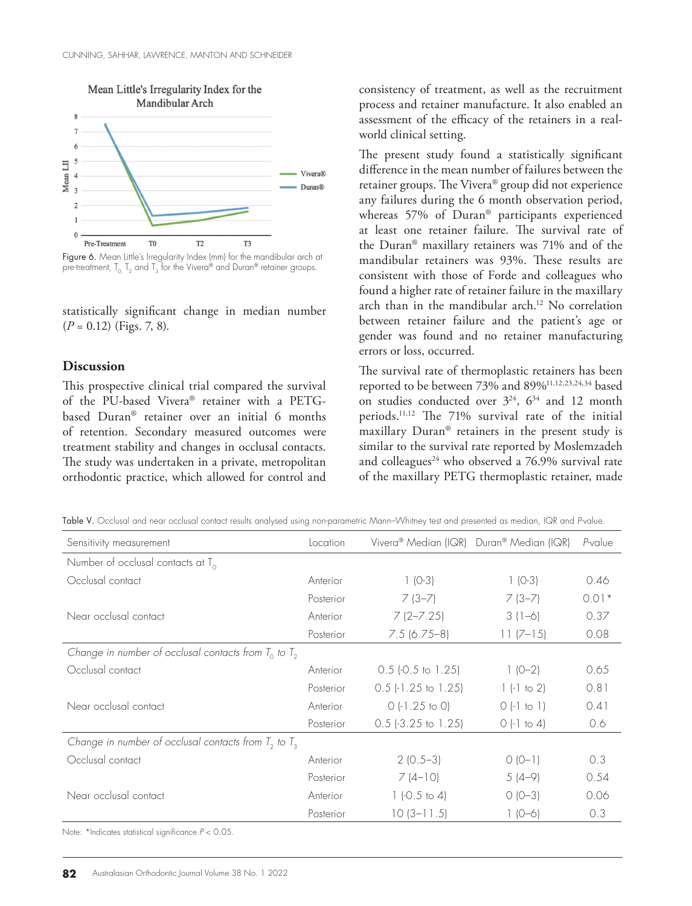

Figure 6. Mean Little's Irregularity Index (mm) for the mandibular arch at pre-treatment,  $T_0$ ,  $T_2$  and  $T_3$  for the Vivera® and Duran® retainer groups.

statistically significant change in median number  $(P = 0.12)$  (Figs. 7, 8).

#### **Discussion**

This prospective clinical trial compared the survival of the PU-based Vivera® retainer with a PETGbased Duran® retainer over an initial 6 months of retention. Secondary measured outcomes were treatment stability and changes in occlusal contacts. The study was undertaken in a private, metropolitan orthodontic practice, which allowed for control and

consistency of treatment, as well as the recruitment process and retainer manufacture. It also enabled an assessment of the efficacy of the retainers in a realworld clinical setting.

The present study found a statistically significant difference in the mean number of failures between the retainer groups. The Vivera® group did not experience any failures during the 6 month observation period, whereas 57% of Duran® participants experienced at least one retainer failure. The survival rate of the Duran® maxillary retainers was 71% and of the mandibular retainers was 93%. These results are consistent with those of Forde and colleagues who found a higher rate of retainer failure in the maxillary arch than in the mandibular arch.<sup>12</sup> No correlation between retainer failure and the patient's age or gender was found and no retainer manufacturing errors or loss, occurred.

The survival rate of thermoplastic retainers has been reported to be between 73% and 89%11,12,23,24,34 based on studies conducted over  $3^{24}$ ,  $6^{34}$  and 12 month periods.11,12 The 71% survival rate of the initial maxillary Duran® retainers in the present study is similar to the survival rate reported by Moslemzadeh and colleagues<sup>24</sup> who observed a  $76.9\%$  survival rate of the maxillary PETG thermoplastic retainer, made

Table V. Occlusal and near occlusal contact results analysed using non-parametric Mann–Whitney test and presented as median, IQR and *P*-value.

| Sensitivity measurement                                   | Location  | Vivera <sup>®</sup> Median (IQR) Duran <sup>®</sup> Median (IQR) |               | P-value |
|-----------------------------------------------------------|-----------|------------------------------------------------------------------|---------------|---------|
| Number of occlusal contacts at $T_0$                      |           |                                                                  |               |         |
| Occlusal contact                                          | Anterior  | $1 (0-3)$                                                        | $1 (0-3)$     | 0.46    |
|                                                           | Posterior | $7(3-7)$                                                         | $7(3-7)$      | $0.01*$ |
| Near occlusal contact                                     | Anterior  | $7(2 - 7.25)$                                                    | $3(1-6)$      | 0.37    |
|                                                           | Posterior | $7.5(6.75-8)$                                                    | $11 (7 - 15)$ | 0.08    |
| Change in number of occlusal contacts from $T_0$ to $T_2$ |           |                                                                  |               |         |
| Occlusal contact                                          | Anterior  | $0.5$ (-0.5 to 1.25)                                             | $1(0-2)$      | 0.65    |
|                                                           | Posterior | $0.5$ (-1.25 to 1.25)                                            | $1(-1)$ to 2) | 0.81    |
| Near occlusal contact                                     | Anterior  | $0$ (-1.25 to 0)                                                 | $0$ (-1 to 1) | 0.41    |
|                                                           | Posterior | $0.5$ (-3.25 to 1.25)                                            | $0$ (-1 to 4) | 0.6     |
| Change in number of occlusal contacts from $T_2$ to $T_3$ |           |                                                                  |               |         |
| Occlusal contact                                          | Anterior  | $2(0.5-3)$                                                       | $0 (0-1)$     | 0.3     |
|                                                           | Posterior | $7(4-10)$                                                        | $5(4-9)$      | 0.54    |
| Near occlusal contact                                     | Anterior  | 1 $(-0.5 \text{ to } 4)$                                         | $O (O-3)$     | 0.06    |
|                                                           | Posterior | $10(3-11.5)$                                                     | $1 (0 - 6)$   | 0.3     |
| Note: *Indicates statistical significance $P < 0.05$ .    |           |                                                                  |               |         |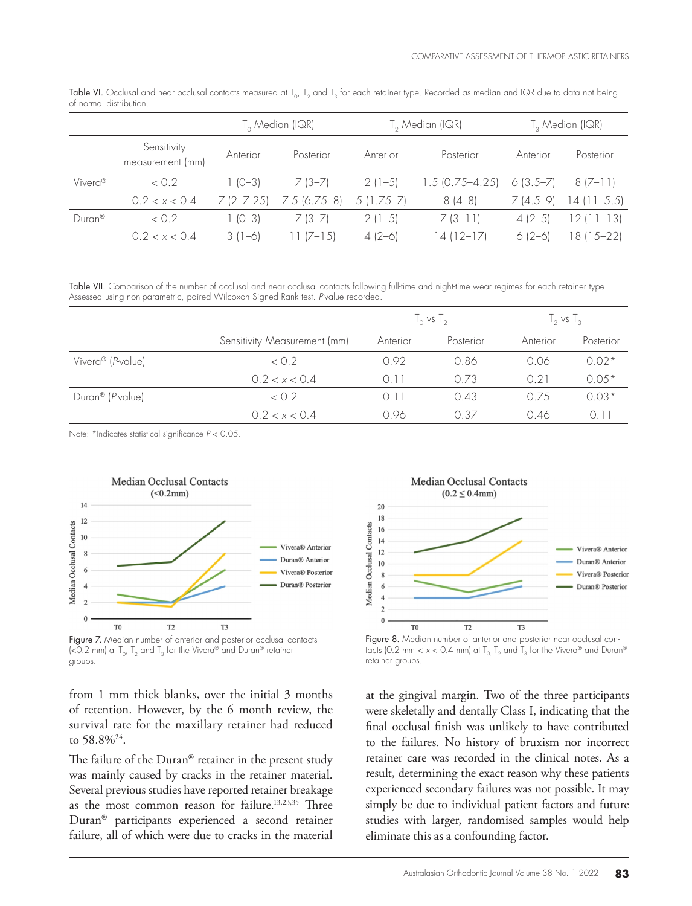|                     |                                 | $T_{\alpha}$ Median (IQR) |               |             | T <sub>2</sub> Median (IQR) | T <sub>3</sub> Median (IQR) |             |
|---------------------|---------------------------------|---------------------------|---------------|-------------|-----------------------------|-----------------------------|-------------|
|                     | Sensitivity<br>measurement (mm) | Anterior                  | Posterior     | Anterior    | Posterior                   | Anterior                    | Posterior   |
| Vivera <sup>®</sup> | < 0.2                           | $1(0-3)$                  | 7 (3–7)       | $2(1-5)$    | $1.5$ (0.75–4.25)           | $6(3.5 - 7)$                | $8(7-1)$    |
|                     | 0.2 < x < 0.4                   | $7(2 - 7.25)$             | $7.5(6.75-8)$ | $5(1.75-7)$ | $8(4-8)$                    | $7(4.5-9)$                  | 14 (11–5.5) |
| Duran <sup>®</sup>  | $\langle$ 0.2                   | $1(0-3)$                  | 7 (3–7)       | $2(1-5)$    | $7(3-1)$                    | $4(2-5)$                    | 12 (11–13)  |
|                     | 0.2 < x < 0.4                   | $3(1-6)$                  | $1/-15$       | $4(2-6)$    | 4 (12–17)                   | $6(2-6)$                    | $8(15-22)$  |

Table VI. Occlusal and near occlusal contacts measured at  $T_{0}$ ,  $T_{2}$  and  $T_{3}$  for each retainer type. Recorded as median and IQR due to data not being of normal distribution.

Table VII. Comparison of the number of occlusal and near occlusal contacts following full-time and night-time wear regimes for each retainer type. Assessed using non-parametric, paired Wilcoxon Signed Rank test. *P*-value recorded.

|                                       |                              | $I_0$ vs $I_2$ |           | $\frac{1}{2}$ vs $\frac{1}{3}$ |           |
|---------------------------------------|------------------------------|----------------|-----------|--------------------------------|-----------|
|                                       | Sensitivity Measurement (mm) | Anterior       | Posterior | Anterior                       | Posterior |
| Vivera® (P-value)                     | < 0.2                        | 0.92           | 0.86      | 0.06                           | $0.02*$   |
|                                       | 0.2 < x < 0.4                | $\cap$ 11      | 073       | 0.21                           | $0.05*$   |
| Duran <sup>®</sup> ( <i>P</i> -value) | < 0.2                        | $()$           | 0.43      | 0.75                           | $0.03*$   |
|                                       | 0.2 < x < 0.4                | 0.96           | O 37      | 0.46                           | 0 I I     |

Note: \*Indicates statistical significance *P* < 0.05.



(<0.2 mm) at  $T_0$ ,  $T_2$  and  $T_3$  for the Vivera® and Duran® retainer groups.

from 1 mm thick blanks, over the initial 3 months of retention. However, by the 6 month review, the survival rate for the maxillary retainer had reduced to 58.8%24.

The failure of the Duran® retainer in the present study was mainly caused by cracks in the retainer material. Several previous studies have reported retainer breakage as the most common reason for failure.13,23,35 Three Duran® participants experienced a second retainer failure, all of which were due to cracks in the material



Figure 8. Median number of anterior and posterior near occlusal contacts (0.2 mm <  $x$  < 0.4 mm) at  $T_{0}$ ,  $T_{2}$  and  $T_{3}$  for the Vivera® and Duran® retainer groups.

at the gingival margin. Two of the three participants were skeletally and dentally Class I, indicating that the final occlusal finish was unlikely to have contributed to the failures. No history of bruxism nor incorrect retainer care was recorded in the clinical notes. As a result, determining the exact reason why these patients experienced secondary failures was not possible. It may simply be due to individual patient factors and future studies with larger, randomised samples would help eliminate this as a confounding factor.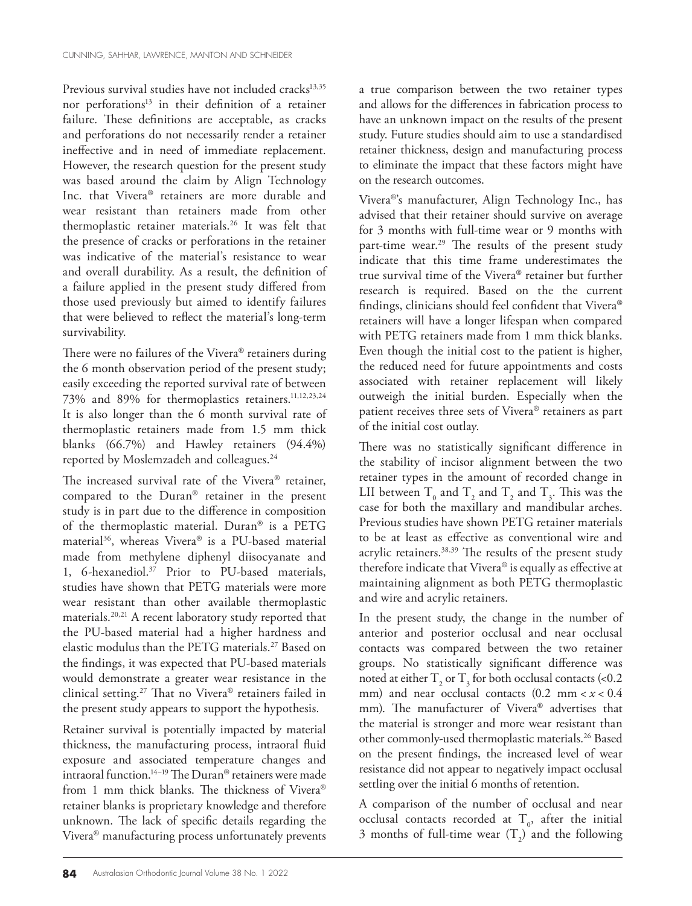Previous survival studies have not included cracks<sup>13,35</sup> nor perforations<sup>13</sup> in their definition of a retainer failure. These definitions are acceptable, as cracks and perforations do not necessarily render a retainer ineffective and in need of immediate replacement. However, the research question for the present study was based around the claim by Align Technology Inc. that Vivera® retainers are more durable and wear resistant than retainers made from other thermoplastic retainer materials.26 It was felt that the presence of cracks or perforations in the retainer was indicative of the material's resistance to wear and overall durability. As a result, the definition of a failure applied in the present study differed from those used previously but aimed to identify failures that were believed to reflect the material's long-term survivability.

There were no failures of the Vivera® retainers during the 6 month observation period of the present study; easily exceeding the reported survival rate of between 73% and 89% for thermoplastics retainers.11,12,23,24 It is also longer than the 6 month survival rate of thermoplastic retainers made from 1.5 mm thick blanks (66.7%) and Hawley retainers (94.4%) reported by Moslemzadeh and colleagues.<sup>24</sup>

The increased survival rate of the Vivera® retainer, compared to the Duran® retainer in the present study is in part due to the difference in composition of the thermoplastic material. Duran® is a PETG material36, whereas Vivera® is a PU-based material made from methylene diphenyl diisocyanate and 1, 6-hexanediol.37 Prior to PU-based materials, studies have shown that PETG materials were more wear resistant than other available thermoplastic materials.20,21 A recent laboratory study reported that the PU-based material had a higher hardness and elastic modulus than the PETG materials.27 Based on the findings, it was expected that PU-based materials would demonstrate a greater wear resistance in the clinical setting.27 That no Vivera® retainers failed in the present study appears to support the hypothesis.

Retainer survival is potentially impacted by material thickness, the manufacturing process, intraoral fluid exposure and associated temperature changes and intraoral function.14–19 The Duran® retainers were made from 1 mm thick blanks. The thickness of Vivera® retainer blanks is proprietary knowledge and therefore unknown. The lack of specific details regarding the Vivera® manufacturing process unfortunately prevents

a true comparison between the two retainer types and allows for the differences in fabrication process to have an unknown impact on the results of the present study. Future studies should aim to use a standardised retainer thickness, design and manufacturing process to eliminate the impact that these factors might have on the research outcomes.

Vivera®'s manufacturer, Align Technology Inc., has advised that their retainer should survive on average for 3 months with full-time wear or 9 months with part-time wear.<sup>29</sup> The results of the present study indicate that this time frame underestimates the true survival time of the Vivera® retainer but further research is required. Based on the the current findings, clinicians should feel confident that Vivera® retainers will have a longer lifespan when compared with PETG retainers made from 1 mm thick blanks. Even though the initial cost to the patient is higher, the reduced need for future appointments and costs associated with retainer replacement will likely outweigh the initial burden. Especially when the patient receives three sets of Vivera® retainers as part of the initial cost outlay.

There was no statistically significant difference in the stability of incisor alignment between the two retainer types in the amount of recorded change in LII between  $T_0$  and  $T_2$  and  $T_3$  and  $T_3$ . This was the case for both the maxillary and mandibular arches. Previous studies have shown PETG retainer materials to be at least as effective as conventional wire and acrylic retainers.<sup>38,39</sup> The results of the present study therefore indicate that Vivera® is equally as effective at maintaining alignment as both PETG thermoplastic and wire and acrylic retainers.

In the present study, the change in the number of anterior and posterior occlusal and near occlusal contacts was compared between the two retainer groups. No statistically significant difference was noted at either  $T_2$  or  $T_3$  for both occlusal contacts (<0.2) mm) and near occlusal contacts  $(0.2 \text{ mm} < x < 0.4$ mm). The manufacturer of Vivera® advertises that the material is stronger and more wear resistant than other commonly-used thermoplastic materials.<sup>26</sup> Based on the present findings, the increased level of wear resistance did not appear to negatively impact occlusal settling over the initial 6 months of retention.

A comparison of the number of occlusal and near occlusal contacts recorded at  $T_o$ , after the initial 3 months of full-time wear  $(T_2)$  and the following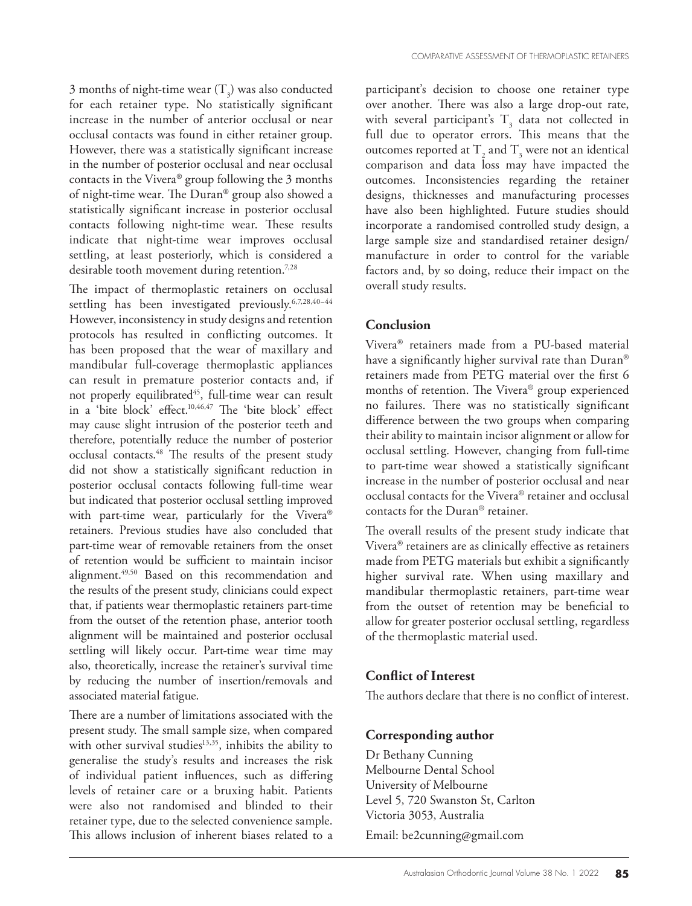3 months of night-time wear  $(T_3)$  was also conducted for each retainer type. No statistically significant increase in the number of anterior occlusal or near occlusal contacts was found in either retainer group. However, there was a statistically significant increase in the number of posterior occlusal and near occlusal contacts in the Vivera® group following the 3 months of night-time wear. The Duran® group also showed a statistically significant increase in posterior occlusal contacts following night-time wear. These results indicate that night-time wear improves occlusal settling, at least posteriorly, which is considered a desirable tooth movement during retention.<sup>7,28</sup>

The impact of thermoplastic retainers on occlusal settling has been investigated previously.<sup>6,7,28,40-44</sup> However, inconsistency in study designs and retention protocols has resulted in conflicting outcomes. It has been proposed that the wear of maxillary and mandibular full-coverage thermoplastic appliances can result in premature posterior contacts and, if not properly equilibrated<sup>45</sup>, full-time wear can result in a 'bite block' effect.10,46,47 The 'bite block' effect may cause slight intrusion of the posterior teeth and therefore, potentially reduce the number of posterior occlusal contacts.48 The results of the present study did not show a statistically significant reduction in posterior occlusal contacts following full-time wear but indicated that posterior occlusal settling improved with part-time wear, particularly for the Vivera® retainers. Previous studies have also concluded that part-time wear of removable retainers from the onset of retention would be sufficient to maintain incisor alignment.49,50 Based on this recommendation and the results of the present study, clinicians could expect that, if patients wear thermoplastic retainers part-time from the outset of the retention phase, anterior tooth alignment will be maintained and posterior occlusal settling will likely occur. Part-time wear time may also, theoretically, increase the retainer's survival time by reducing the number of insertion/removals and associated material fatigue.

There are a number of limitations associated with the present study. The small sample size, when compared with other survival studies<sup>13,35</sup>, inhibits the ability to generalise the study's results and increases the risk of individual patient influences, such as differing levels of retainer care or a bruxing habit. Patients were also not randomised and blinded to their retainer type, due to the selected convenience sample. This allows inclusion of inherent biases related to a

participant's decision to choose one retainer type over another. There was also a large drop-out rate, with several participant's  $T_3$  data not collected in full due to operator errors. This means that the outcomes reported at  $T_2$  and  $T_3$  were not an identical comparison and data loss may have impacted the outcomes. Inconsistencies regarding the retainer designs, thicknesses and manufacturing processes have also been highlighted. Future studies should incorporate a randomised controlled study design, a large sample size and standardised retainer design/ manufacture in order to control for the variable factors and, by so doing, reduce their impact on the overall study results.

#### **Conclusion**

Vivera® retainers made from a PU-based material have a significantly higher survival rate than Duran® retainers made from PETG material over the first 6 months of retention. The Vivera® group experienced no failures. There was no statistically significant difference between the two groups when comparing their ability to maintain incisor alignment or allow for occlusal settling. However, changing from full-time to part-time wear showed a statistically significant increase in the number of posterior occlusal and near occlusal contacts for the Vivera® retainer and occlusal contacts for the Duran® retainer.

The overall results of the present study indicate that Vivera® retainers are as clinically effective as retainers made from PETG materials but exhibit a significantly higher survival rate. When using maxillary and mandibular thermoplastic retainers, part-time wear from the outset of retention may be beneficial to allow for greater posterior occlusal settling, regardless of the thermoplastic material used.

# **Conflict of Interest**

The authors declare that there is no conflict of interest.

# **Corresponding author**

Dr Bethany Cunning Melbourne Dental School University of Melbourne Level 5, 720 Swanston St, Carlton Victoria 3053, Australia

Email: be2cunning@gmail.com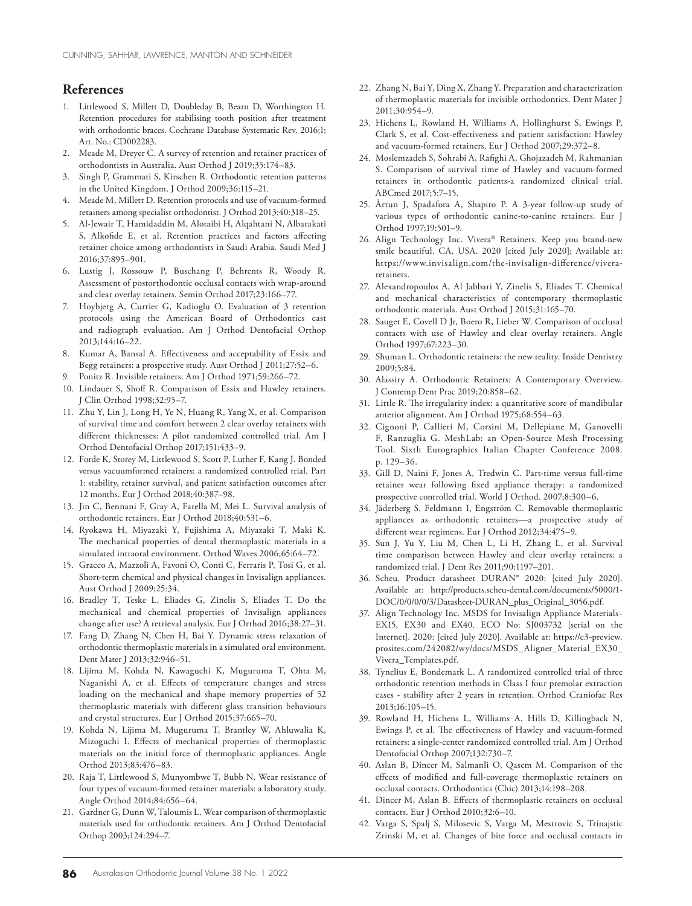#### **References**

- 1. Littlewood S, Millett D, Doubleday B, Bearn D, Worthington H. Retention procedures for stabilising tooth position after treatment with orthodontic braces. Cochrane Database Systematic Rev. 2016;1; Art. No.: CD002283.
- 2. Meade M, Dreyer C. A survey of retention and retainer practices of orthodontists in Australia. Aust Orthod J 2019;35:174–83.
- 3. Singh P, Grammati S, Kirschen R. Orthodontic retention patterns in the United Kingdom. J Orthod 2009;36:115–21.
- 4. Meade M, Millett D. Retention protocols and use of vacuum-formed retainers among specialist orthodontist. J Orthod 2013;40:318–25.
- 5. Al-Jewair T, Hamidaddin M, Alotaibi H, Alqahtani N, Albarakati S, Alkofide E, et al. Retention practices and factors affecting retainer choice among orthodontists in Saudi Arabia. Saudi Med J 2016;37:895–901.
- 6. Lustig J, Rossouw P, Buschang P, Behrents R, Woody R. Assessment of postorthodontic occlusal contacts with wrap-around and clear overlay retainers. Semin Orthod 2017;23:166–77.
- 7. Hoybjerg A, Currier G, Kadioglu O. Evaluation of 3 retention protocols using the American Board of Orthodontics cast and radiograph evaluation. Am J Orthod Dentofacial Orthop 2013;144:16–22.
- 8. Kumar A, Bansal A. Effectiveness and acceptability of Essix and Begg retainers: a prospective study. Aust Orthod J 2011;27:52–6.
- 9. Ponitz R. Invisible retainers. Am J Orthod 1971;59:266–72.
- 10. Lindauer S, Shoff R. Comparison of Essix and Hawley retainers. J Clin Orthod 1998;32:95–7.
- 11. Zhu Y, Lin J, Long H, Ye N, Huang R, Yang X, et al. Comparison of survival time and comfort between 2 clear overlay retainers with different thicknesses: A pilot randomized controlled trial. Am J Orthod Dentofacial Orthop 2017;151:433–9.
- 12. Forde K, Storey M, Littlewood S, Scott P, Luther F, Kang J. Bonded versus vacuumformed retainers: a randomized controlled trial. Part 1: stability, retainer survival, and patient satisfaction outcomes after 12 months. Eur J Orthod 2018;40:387–98.
- 13. Jin C, Bennani F, Gray A, Farella M, Mei L. Survival analysis of orthodontic retainers. Eur J Orthod 2018;40:531–6.
- 14. Ryokawa H, Miyazaki Y, Fujishima A, Miyazaki T, Maki K. The mechanical properties of dental thermoplastic materials in a simulated intraoral environment. Orthod Waves 2006;65:64–72.
- 15. Gracco A, Mazzoli A, Favoni O, Conti C, Ferraris P, Tosi G, et al. Short-term chemical and physical changes in Invisalign appliances. Aust Orthod J 2009;25:34.
- 16. Bradley T, Teske L, Eliades G, Zinelis S, Eliades T. Do the mechanical and chemical properties of Invisalign appliances change after use? A retrieval analysis. Eur J Orthod 2016;38:27–31.
- 17. Fang D, Zhang N, Chen H, Bai Y. Dynamic stress relaxation of orthodontic thermoplastic materials in a simulated oral environment. Dent Mater J 2013;32:946–51.
- 18. Lijima M, Kohda N, Kawaguchi K, Muguruma T, Ohta M, Naganishi A, et al. Effects of temperature changes and stress loading on the mechanical and shape memory properties of 52 thermoplastic materials with different glass transition behaviours and crystal structures. Eur J Orthod 2015;37:665–70.
- 19. Kohda N, Lijima M, Muguruma T, Brantley W, Ahluwalia K, Mizoguchi I. Effects of mechanical properties of thermoplastic materials on the initial force of thermoplastic appliances. Angle Orthod 2013;83:476–83.
- 20. Raja T, Littlewood S, Munyombwe T, Bubb N. Wear resistance of four types of vacuum-formed retainer materials: a laboratory study. Angle Orthod 2014;84:656–64.
- 21. Gardner G, Dunn W, Taloumis L. Wear comparison of thermoplastic materials used for orthodontic retainers. Am J Orthod Dentofacial Orthop 2003;124:294–7.
- 22. Zhang N, Bai Y, Ding X, Zhang Y. Preparation and characterization of thermoplastic materials for invisible orthodontics. Dent Mater J 2011;30:954–9.
- 23. Hichens L, Rowland H, Williams A, Hollinghurst S, Ewings P, Clark S, et al. Cost-effectiveness and patient satisfaction: Hawley and vacuum-formed retainers. Eur J Orthod 2007;29:372–8.
- 24. Moslemzadeh S, Sohrabi A, Rafighi A, Ghojazadeh M, Rahmanian S. Comparison of survival time of Hawley and vacuum-formed retainers in orthodontic patients-a randomized clinical trial. ABCmed 2017;5:7–15.
- 25. Årtun J, Spadafora A, Shapiro P. A 3-year follow-up study of various types of orthodontic canine-to-canine retainers. Eur J Orthod 1997;19:501–9.
- 26. Align Technology Inc. Vivera® Retainers. Keep you brand-new smile beautiful. CA, USA. 2020 [cited July 2020]; Available at: https://www.invisalign.com/the-invisalign-difference/viveraretainers.
- 27. Alexandropoulos A, Al Jabbari Y, Zinelis S, Eliades T. Chemical and mechanical characteristics of contemporary thermoplastic orthodontic materials. Aust Orthod J 2015;31:165–70.
- 28. Sauget E, Covell D Jr, Boero R, Lieber W. Comparison of occlusal contacts with use of Hawley and clear overlay retainers. Angle Orthod 1997;67:223–30.
- 29. Shuman L. Orthodontic retainers: the new reality. Inside Dentistry 2009;5:84.
- 30. Alassiry A. Orthodontic Retainers: A Contemporary Overview. J Contemp Dent Prac 2019;20:858–62.
- 31. Little R. The irregularity index: a quantitative score of mandibular anterior alignment. Am J Orthod 1975;68:554–63.
- 32. Cignoni P, Callieri M, Corsini M, Dellepiane M, Ganovelli F, Ranzuglia G. MeshLab: an Open-Source Mesh Processing Tool. Sixth Eurographics Italian Chapter Conference 2008. p. 129–36.
- 33. Gill D, Naini F, Jones A, Tredwin C. Part-time versus full-time retainer wear following fixed appliance therapy: a randomized prospective controlled trial. World J Orthod. 2007;8:300–6.
- 34. Jäderberg S, Feldmann I, Engström C. Removable thermoplastic appliances as orthodontic retainers—a prospective study of different wear regimens. Eur J Orthod 2012;34:475–9.
- 35. Sun J, Yu Y, Liu M, Chen L, Li H, Zhang L, et al. Survival time comparison between Hawley and clear overlay retainers: a randomized trial. J Dent Res 2011;90:1197–201.
- 36. Scheu. Product datasheet DURAN® 2020: [cited July 2020]. Available at: http://products.scheu-dental.com/documents/5000/1- DOC/0/0/0/0/3/Datasheet-DURAN\_plus\_Original\_3056.pdf.
- 37. Align Technology Inc. MSDS for Invisalign Appliance Materials-EX15, EX30 and EX40. ECO No: SJ003732 [serial on the Internet]. 2020: [cited July 2020]. Available at: https://c3-preview. prosites.com/242082/wy/docs/MSDS\_Aligner\_Material\_EX30\_ Vivera\_Templates.pdf.
- 38. Tynelius E, Bondemark L. A randomized controlled trial of three orthodontic retention methods in Class I four premolar extraction cases - stability after 2 years in retention. Orthod Craniofac Res 2013;16:105–15.
- 39. Rowland H, Hichens L, Williams A, Hills D, Killingback N, Ewings P, et al. The effectiveness of Hawley and vacuum-formed retainers: a single-center randomized controlled trial. Am J Orthod Dentofacial Orthop 2007;132:730–7.
- 40. Aslan B, Dincer M, Salmanli O, Qasem M. Comparison of the effects of modified and full-coverage thermoplastic retainers on occlusal contacts. Orthodontics (Chic) 2013;14:198–208.
- 41. Dincer M, Aslan B. Effects of thermoplastic retainers on occlusal contacts. Eur J Orthod 2010;32:6–10.
- 42. Varga S, Spalj S, Milosevic S, Varga M, Mestrovic S, Trinajstic Zrinski M, et al. Changes of bite force and occlusal contacts in